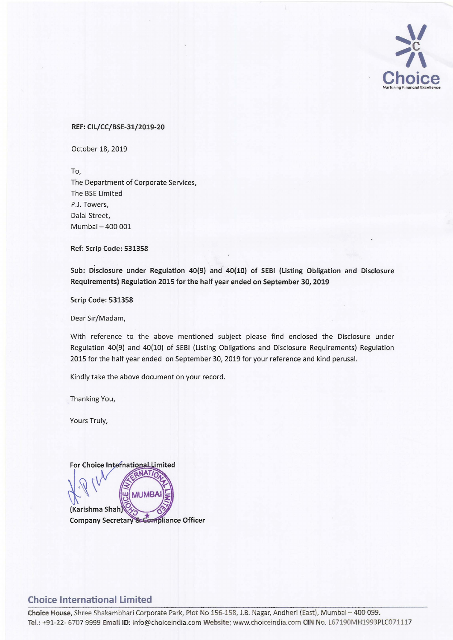

## REF: CIL/CC/BSE-31/2019-20

October 18, 2019

To, The Department of Corporate Services, The BSE Limited P.J. Towers, Dalal Street,

Ref: Scrip Code: 531358

Mumbai - 400 001

Sub: Disclosure under Regulation 40(9) and 40(10) of SEBI (Listing Obligation and Disclosure Requirements) Regulation 2015 for the half year ended on September 30, 2019

Scrip Code: 531358

Dear Sir/Madam,

With reference to the above mentioned subject please find enclosed the Disclosure under Regulation 40(9) and 40(10) of SEBI (Listing Obligations and Disclosure Requirements) Regulation 2015 for the half year ended on September 30, 2019 for your reference and kind perusal.

Kindly take the above document on your record.

Thanking You,

Yours Truly,



## **Choice International Limited**